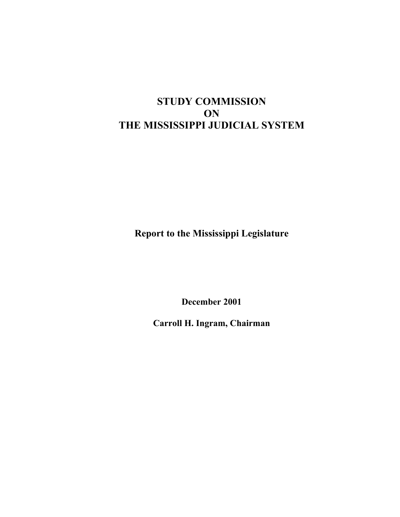# **STUDY COMMISSION ON THE MISSISSIPPI JUDICIAL SYSTEM**

**Report to the Mississippi Legislature** 

**December 2001** 

**Carroll H. Ingram, Chairman**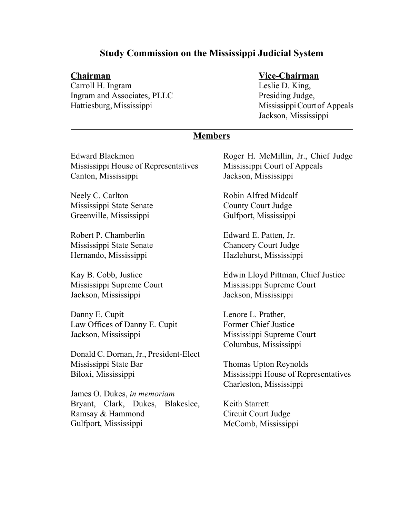## **Study Commission on the Mississippi Judicial System**

Carroll H. Ingram Leslie D. King, Ingram and Associates, PLLC Presiding Judge, Hattiesburg, Mississippi Mississippi Mississippi Court of Appeals

#### **Chairman Vice-Chairman**

Jackson, Mississippi

#### **Members**

Edward Blackmon Mississippi House of Representatives Canton, Mississippi

Neely C. Carlton Mississippi State Senate Greenville, Mississippi

Robert P. Chamberlin Mississippi State Senate Hernando, Mississippi

Kay B. Cobb, Justice Mississippi Supreme Court Jackson, Mississippi

Danny E. Cupit Law Offices of Danny E. Cupit Jackson, Mississippi

Donald C. Dornan, Jr., President-Elect Mississippi State Bar Biloxi, Mississippi

James O. Dukes, *in memoriam*  Bryant, Clark, Dukes, Blakeslee, Ramsay & Hammond Gulfport, Mississippi

Roger H. McMillin, Jr., Chief Judge Mississippi Court of Appeals Jackson, Mississippi

Robin Alfred Midcalf County Court Judge Gulfport, Mississippi

Edward E. Patten, Jr. Chancery Court Judge Hazlehurst, Mississippi

Edwin Lloyd Pittman, Chief Justice Mississippi Supreme Court Jackson, Mississippi

Lenore L. Prather, Former Chief Justice Mississippi Supreme Court Columbus, Mississippi

Thomas Upton Reynolds Mississippi House of Representatives Charleston, Mississippi

Keith Starrett Circuit Court Judge McComb, Mississippi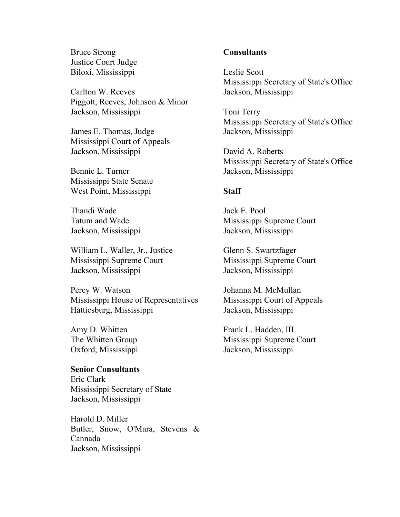Bruce Strong Justice Court Judge Biloxi, Mississippi

Carlton W. Reeves Piggott, Reeves, Johnson & Minor Jackson, Mississippi

James E. Thomas, Judge Mississippi Court of Appeals Jackson, Mississippi

Bennie L. Turner Mississippi State Senate West Point, Mississippi

Thandi Wade Tatum and Wade Jackson, Mississippi

William L. Waller, Jr., Justice Mississippi Supreme Court Jackson, Mississippi

Percy W. Watson Mississippi House of Representatives Hattiesburg, Mississippi

Amy D. Whitten The Whitten Group Oxford, Mississippi

#### **Senior Consultants**

Eric Clark Mississippi Secretary of State Jackson, Mississippi

Harold D. Miller Butler, Snow, O'Mara, Stevens & Cannada Jackson, Mississippi

#### **Consultants**

Leslie Scott Mississippi Secretary of State's Office Jackson, Mississippi

Toni Terry Mississippi Secretary of State's Office Jackson, Mississippi

David A. Roberts Mississippi Secretary of State's Office Jackson, Mississippi

#### **Staff**

Jack E. Pool Mississippi Supreme Court Jackson, Mississippi

Glenn S. Swartzfager Mississippi Supreme Court Jackson, Mississippi

Johanna M. McMullan Mississippi Court of Appeals Jackson, Mississippi

Frank L. Hadden, III Mississippi Supreme Court Jackson, Mississippi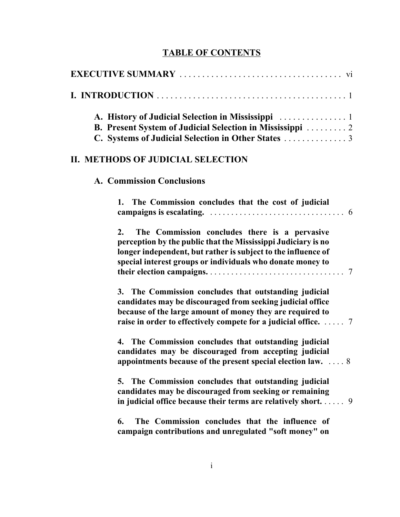## **TABLE OF CONTENTS**

|                                                                       | <b>B. Present System of Judicial Selection in Mississippi  2</b>                                                                                                                                                                                           |
|-----------------------------------------------------------------------|------------------------------------------------------------------------------------------------------------------------------------------------------------------------------------------------------------------------------------------------------------|
| II. METHODS OF JUDICIAL SELECTION<br><b>A. Commission Conclusions</b> |                                                                                                                                                                                                                                                            |
|                                                                       |                                                                                                                                                                                                                                                            |
| $2_{-}$                                                               | The Commission concludes there is a pervasive<br>perception by the public that the Mississippi Judiciary is no<br>longer independent, but rather is subject to the influence of<br>special interest groups or individuals who donate money to              |
|                                                                       | 3. The Commission concludes that outstanding judicial<br>candidates may be discouraged from seeking judicial office<br>because of the large amount of money they are required to<br>raise in order to effectively compete for a judicial office. $\dots$ 7 |
|                                                                       | 4. The Commission concludes that outstanding judicial<br>candidates may be discouraged from accepting judicial<br>appointments because of the present special election law. $\ldots$ 8                                                                     |
|                                                                       | 5. The Commission concludes that outstanding judicial<br>candidates may be discouraged from seeking or remaining<br>in judicial office because their terms are relatively short 9                                                                          |
| 6.                                                                    | The Commission concludes that the influence of<br>campaign contributions and unregulated "soft money" on                                                                                                                                                   |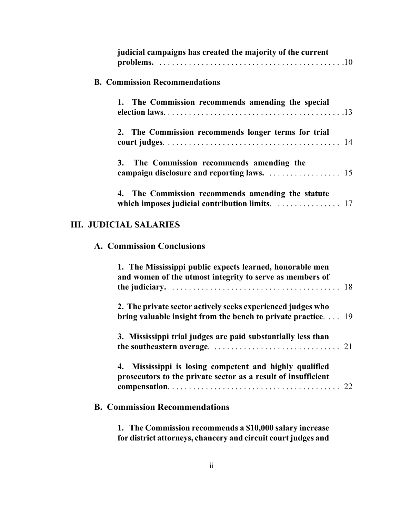|                                      | judicial campaigns has created the majority of the current |
|--------------------------------------|------------------------------------------------------------|
| <b>B. Commission Recommendations</b> |                                                            |
|                                      | 1. The Commission recommends amending the special          |
|                                      | 2. The Commission recommends longer terms for trial        |
|                                      | 3. The Commission recommends amending the                  |
|                                      | 4. The Commission recommends amending the statute          |

# **III. JUDICIAL SALARIES**

## **A. Commission Conclusions**

| 1. The Mississippi public expects learned, honorable men<br>and women of the utmost integrity to serve as members of        |
|-----------------------------------------------------------------------------------------------------------------------------|
| 2. The private sector actively seeks experienced judges who<br>bring valuable insight from the bench to private practice 19 |
| 3. Mississippi trial judges are paid substantially less than                                                                |
| Mississippi is losing competent and highly qualified<br>4.<br>prosecutors to the private sector as a result of insufficient |
| <b>B. Commission Recommendations</b>                                                                                        |

**1. The Commission recommends a \$10,000 salary increase for district attorneys, chancery and circuit court judges and**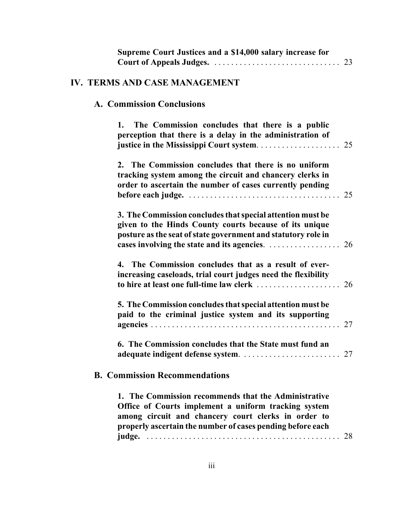| Supreme Court Justices and a \$14,000 salary increase for                                                                                                                                                                                                                                       |
|-------------------------------------------------------------------------------------------------------------------------------------------------------------------------------------------------------------------------------------------------------------------------------------------------|
| IV. TERMS AND CASE MANAGEMENT                                                                                                                                                                                                                                                                   |
| <b>A. Commission Conclusions</b>                                                                                                                                                                                                                                                                |
| The Commission concludes that there is a public<br>1.<br>perception that there is a delay in the administration of                                                                                                                                                                              |
| 2. The Commission concludes that there is no uniform<br>tracking system among the circuit and chancery clerks in<br>order to ascertain the number of cases currently pending<br>before each judge. $\ldots \ldots \ldots \ldots \ldots \ldots \ldots \ldots \ldots \ldots \ldots \ldots \ldots$ |
| 3. The Commission concludes that special attention must be<br>given to the Hinds County courts because of its unique<br>posture as the seat of state government and statutory role in<br>cases involving the state and its agencies.<br>26                                                      |
| 4. The Commission concludes that as a result of ever-<br>increasing caseloads, trial court judges need the flexibility<br>to hire at least one full-time law clerk<br>26                                                                                                                        |
| 5. The Commission concludes that special attention must be<br>paid to the criminal justice system and its supporting<br>27                                                                                                                                                                      |
| 6. The Commission concludes that the State must fund an                                                                                                                                                                                                                                         |
| <b>B. Commission Recommendations</b>                                                                                                                                                                                                                                                            |
| 1. The Commission recommends that the Administrative<br>Office of Courts implement a uniform tracking system<br>among circuit and chancery court clerks in order to<br>properly ascertain the number of cases pending before each<br>28                                                         |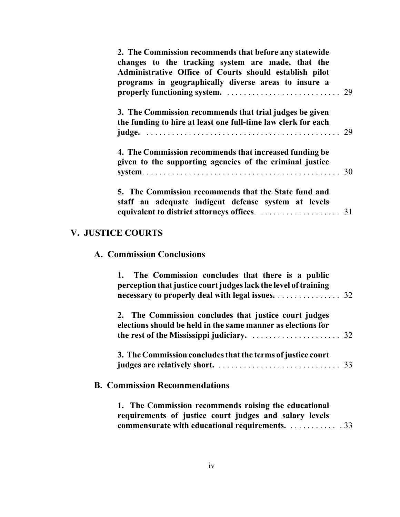| 2. The Commission recommends that before any statewide<br>changes to the tracking system are made, that the<br>Administrative Office of Courts should establish pilot<br>programs in geographically diverse areas to insure a |  |
|-------------------------------------------------------------------------------------------------------------------------------------------------------------------------------------------------------------------------------|--|
| 3. The Commission recommends that trial judges be given<br>the funding to hire at least one full-time law clerk for each                                                                                                      |  |
| 4. The Commission recommends that increased funding be<br>given to the supporting agencies of the criminal justice                                                                                                            |  |
| 5. The Commission recommends that the State fund and<br>staff an adequate indigent defense system at levels                                                                                                                   |  |

# **V. JUSTICE COURTS**

## **A. Commission Conclusions**

| 1. The Commission concludes that there is a public<br>perception that justice court judges lack the level of training<br>necessary to properly deal with legal issues. 32 |
|---------------------------------------------------------------------------------------------------------------------------------------------------------------------------|
| 2. The Commission concludes that justice court judges<br>elections should be held in the same manner as elections for                                                     |
| 3. The Commission concludes that the terms of justice court                                                                                                               |
| <b>B. Commission Recommendations</b>                                                                                                                                      |

**1. The Commission recommends raising the educational requirements of justice court judges and salary levels [commensurate with educational requirements.](#page-47-0)** . . . . . . . . . . . . 33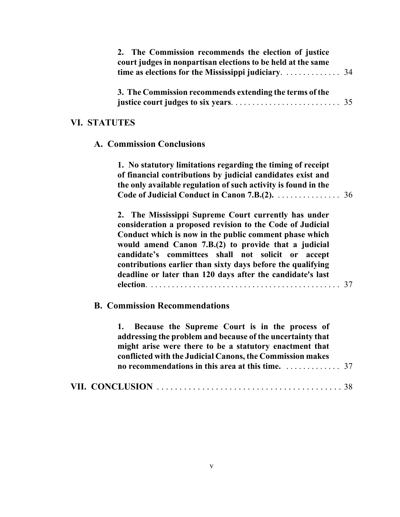|                     | 2. The Commission recommends the election of justice<br>court judges in nonpartisan elections to be held at the same<br>time as elections for the Mississippi judiciary.                                                                                                                                                                                                                                                  | 34 |
|---------------------|---------------------------------------------------------------------------------------------------------------------------------------------------------------------------------------------------------------------------------------------------------------------------------------------------------------------------------------------------------------------------------------------------------------------------|----|
|                     | 3. The Commission recommends extending the terms of the                                                                                                                                                                                                                                                                                                                                                                   | 35 |
| <b>VI. STATUTES</b> |                                                                                                                                                                                                                                                                                                                                                                                                                           |    |
|                     | <b>A. Commission Conclusions</b>                                                                                                                                                                                                                                                                                                                                                                                          |    |
|                     | 1. No statutory limitations regarding the timing of receipt<br>of financial contributions by judicial candidates exist and<br>the only available regulation of such activity is found in the<br>Code of Judicial Conduct in Canon 7.B.(2).                                                                                                                                                                                | 36 |
|                     | 2. The Mississippi Supreme Court currently has under<br>consideration a proposed revision to the Code of Judicial<br>Conduct which is now in the public comment phase which<br>would amend Canon 7.B.(2) to provide that a judicial<br>candidate's committees shall not solicit or<br>accept<br>contributions earlier than sixty days before the qualifying<br>deadline or later than 120 days after the candidate's last | 37 |
|                     | <b>B. Commission Recommendations</b>                                                                                                                                                                                                                                                                                                                                                                                      |    |
|                     | 1. Because the Supreme Court is in the process of<br>addressing the problem and because of the uncertainty that<br>might arise were there to be a statutory enactment that<br>conflicted with the Judicial Canons, the Commission makes<br>no recommendations in this area at this time.                                                                                                                                  | 37 |
|                     |                                                                                                                                                                                                                                                                                                                                                                                                                           |    |
|                     |                                                                                                                                                                                                                                                                                                                                                                                                                           |    |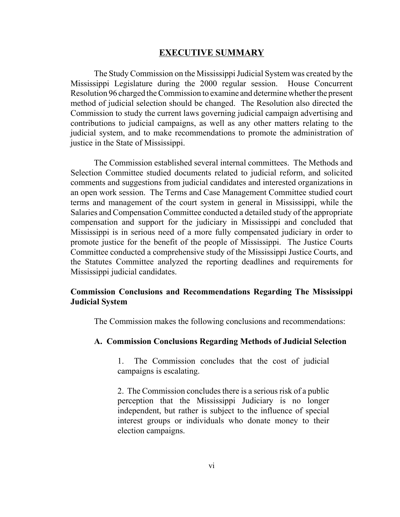#### **EXECUTIVE SUMMARY**

The Study Commission on the Mississippi Judicial System was created by the Mississippi Legislature during the 2000 regular session. House Concurrent Resolution 96 charged the Commission to examine and determine whether the present method of judicial selection should be changed. The Resolution also directed the Commission to study the current laws governing judicial campaign advertising and contributions to judicial campaigns, as well as any other matters relating to the judicial system, and to make recommendations to promote the administration of justice in the State of Mississippi.

The Commission established several internal committees. The Methods and Selection Committee studied documents related to judicial reform, and solicited comments and suggestions from judicial candidates and interested organizations in an open work session. The Terms and Case Management Committee studied court terms and management of the court system in general in Mississippi, while the Salaries and Compensation Committee conducted a detailed study of the appropriate compensation and support for the judiciary in Mississippi and concluded that Mississippi is in serious need of a more fully compensated judiciary in order to promote justice for the benefit of the people of Mississippi. The Justice Courts Committee conducted a comprehensive study of the Mississippi Justice Courts, and the Statutes Committee analyzed the reporting deadlines and requirements for Mississippi judicial candidates.

#### **Commission Conclusions and Recommendations Regarding The Mississippi Judicial System**

The Commission makes the following conclusions and recommendations:

#### **A. Commission Conclusions Regarding Methods of Judicial Selection**

1. The Commission concludes that the cost of judicial campaigns is escalating.

2. The Commission concludes there is a serious risk of a public perception that the Mississippi Judiciary is no longer independent, but rather is subject to the influence of special interest groups or individuals who donate money to their election campaigns.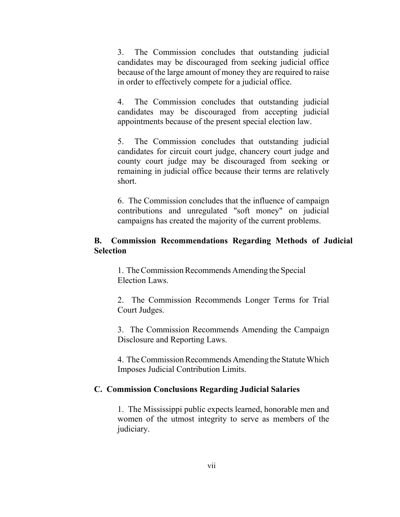3. The Commission concludes that outstanding judicial candidates may be discouraged from seeking judicial office because of the large amount of money they are required to raise in order to effectively compete for a judicial office.

4. The Commission concludes that outstanding judicial candidates may be discouraged from accepting judicial appointments because of the present special election law.

5. The Commission concludes that outstanding judicial candidates for circuit court judge, chancery court judge and county court judge may be discouraged from seeking or remaining in judicial office because their terms are relatively short.

6. The Commission concludes that the influence of campaign contributions and unregulated "soft money" on judicial campaigns has created the majority of the current problems.

#### **B. Commission Recommendations Regarding Methods of Judicial Selection**

1. The Commission Recommends Amending the Special Election Laws.

2. The Commission Recommends Longer Terms for Trial Court Judges.

3. The Commission Recommends Amending the Campaign Disclosure and Reporting Laws.

4. The Commission Recommends Amending the Statute Which Imposes Judicial Contribution Limits.

#### **C. Commission Conclusions Regarding Judicial Salaries**

1. The Mississippi public expects learned, honorable men and women of the utmost integrity to serve as members of the judiciary.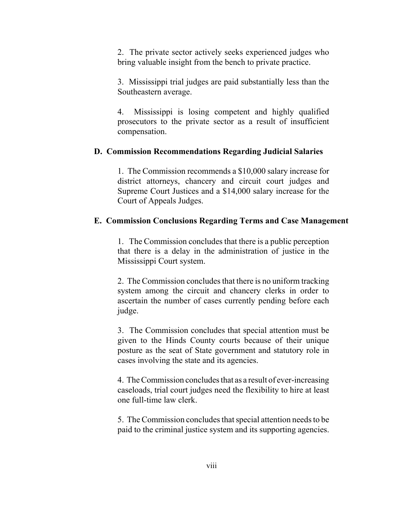2. The private sector actively seeks experienced judges who bring valuable insight from the bench to private practice.

3. Mississippi trial judges are paid substantially less than the Southeastern average.

4. Mississippi is losing competent and highly qualified prosecutors to the private sector as a result of insufficient compensation.

#### **D. Commission Recommendations Regarding Judicial Salaries**

1. The Commission recommends a \$10,000 salary increase for district attorneys, chancery and circuit court judges and Supreme Court Justices and a \$14,000 salary increase for the Court of Appeals Judges.

#### **E. Commission Conclusions Regarding Terms and Case Management**

1. The Commission concludes that there is a public perception that there is a delay in the administration of justice in the Mississippi Court system.

2. The Commission concludes that there is no uniform tracking system among the circuit and chancery clerks in order to ascertain the number of cases currently pending before each judge.

3. The Commission concludes that special attention must be given to the Hinds County courts because of their unique posture as the seat of State government and statutory role in cases involving the state and its agencies.

4. The Commission concludes that as a result of ever-increasing caseloads, trial court judges need the flexibility to hire at least one full-time law clerk.

5. The Commission concludes that special attention needs to be paid to the criminal justice system and its supporting agencies.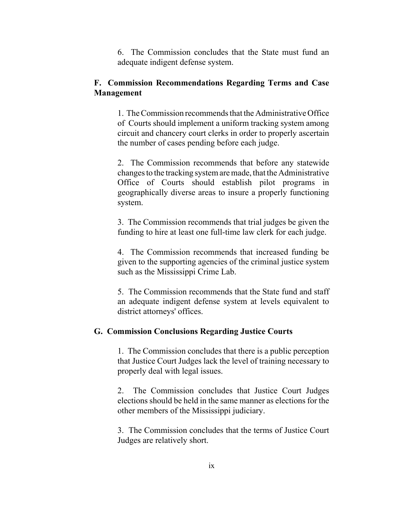6. The Commission concludes that the State must fund an adequate indigent defense system.

#### **F. Commission Recommendations Regarding Terms and Case Management**

1. The Commission recommends that the Administrative Office of Courts should implement a uniform tracking system among circuit and chancery court clerks in order to properly ascertain the number of cases pending before each judge.

2. The Commission recommends that before any statewide changes to the tracking system are made, that the Administrative Office of Courts should establish pilot programs in geographically diverse areas to insure a properly functioning system.

3. The Commission recommends that trial judges be given the funding to hire at least one full-time law clerk for each judge.

4. The Commission recommends that increased funding be given to the supporting agencies of the criminal justice system such as the Mississippi Crime Lab.

5. The Commission recommends that the State fund and staff an adequate indigent defense system at levels equivalent to district attorneys' offices.

#### **G. Commission Conclusions Regarding Justice Courts**

1. The Commission concludes that there is a public perception that Justice Court Judges lack the level of training necessary to properly deal with legal issues.

2. The Commission concludes that Justice Court Judges elections should be held in the same manner as elections for the other members of the Mississippi judiciary.

3. The Commission concludes that the terms of Justice Court Judges are relatively short.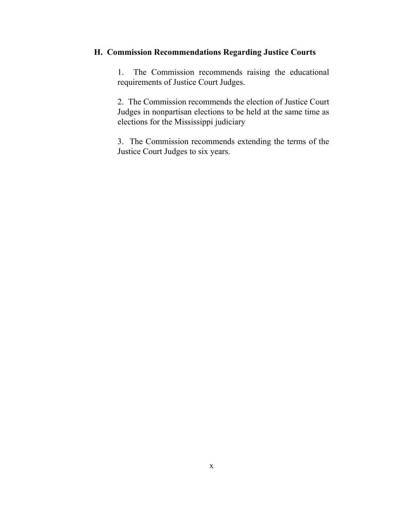## **H. Commission Recommendations Regarding Justice Courts**

1. The Commission recommends raising the educational requirements of Justice Court Judges.

2. The Commission recommends the election of Justice Court Judges in nonpartisan elections to be held at the same time as elections for the Mississippi judiciary

3. The Commission recommends extending the terms of the Justice Court Judges to six years.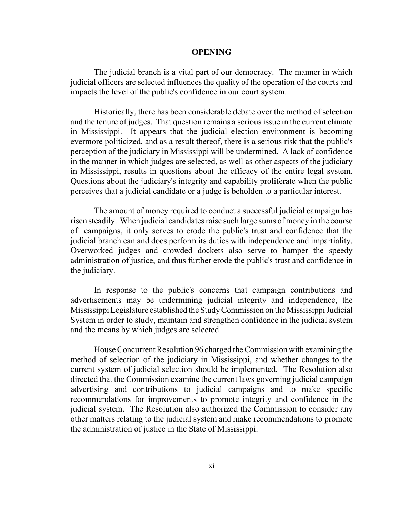#### **OPENING**

The judicial branch is a vital part of our democracy. The manner in which judicial officers are selected influences the quality of the operation of the courts and impacts the level of the public's confidence in our court system.

Historically, there has been considerable debate over the method of selection and the tenure of judges. That question remains a serious issue in the current climate in Mississippi. It appears that the judicial election environment is becoming evermore politicized, and as a result thereof, there is a serious risk that the public's perception of the judiciary in Mississippi will be undermined. A lack of confidence in the manner in which judges are selected, as well as other aspects of the judiciary in Mississippi, results in questions about the efficacy of the entire legal system. Questions about the judiciary's integrity and capability proliferate when the public perceives that a judicial candidate or a judge is beholden to a particular interest.

The amount of money required to conduct a successful judicial campaign has risen steadily. When judicial candidates raise such large sums of money in the course of campaigns, it only serves to erode the public's trust and confidence that the judicial branch can and does perform its duties with independence and impartiality. Overworked judges and crowded dockets also serve to hamper the speedy administration of justice, and thus further erode the public's trust and confidence in the judiciary.

In response to the public's concerns that campaign contributions and advertisements may be undermining judicial integrity and independence, the Mississippi Legislature established the Study Commission on the Mississippi Judicial System in order to study, maintain and strengthen confidence in the judicial system and the means by which judges are selected.

House Concurrent Resolution 96 charged the Commission with examining the method of selection of the judiciary in Mississippi, and whether changes to the current system of judicial selection should be implemented. The Resolution also directed that the Commission examine the current laws governing judicial campaign advertising and contributions to judicial campaigns and to make specific recommendations for improvements to promote integrity and confidence in the judicial system. The Resolution also authorized the Commission to consider any other matters relating to the judicial system and make recommendations to promote the administration of justice in the State of Mississippi.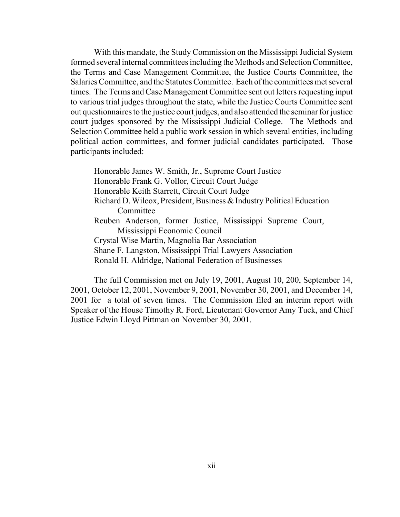With this mandate, the Study Commission on the Mississippi Judicial System formed several internal committees including the Methods and Selection Committee, the Terms and Case Management Committee, the Justice Courts Committee, the Salaries Committee, and the Statutes Committee. Each of the committees met several times. The Terms and Case Management Committee sent out letters requesting input to various trial judges throughout the state, while the Justice Courts Committee sent out questionnaires to the justice court judges, and also attended the seminar for justice court judges sponsored by the Mississippi Judicial College. The Methods and Selection Committee held a public work session in which several entities, including political action committees, and former judicial candidates participated. Those participants included:

Honorable James W. Smith, Jr., Supreme Court Justice Honorable Frank G. Vollor, Circuit Court Judge Honorable Keith Starrett, Circuit Court Judge Richard D. Wilcox, President, Business & Industry Political Education **Committee** Reuben Anderson, former Justice, Mississippi Supreme Court, Mississippi Economic Council Crystal Wise Martin, Magnolia Bar Association Shane F. Langston, Mississippi Trial Lawyers Association Ronald H. Aldridge, National Federation of Businesses

The full Commission met on July 19, 2001, August 10, 200, September 14, 2001, October 12, 2001, November 9, 2001, November 30, 2001, and December 14, 2001 for a total of seven times. The Commission filed an interim report with Speaker of the House Timothy R. Ford, Lieutenant Governor Amy Tuck, and Chief Justice Edwin Lloyd Pittman on November 30, 2001.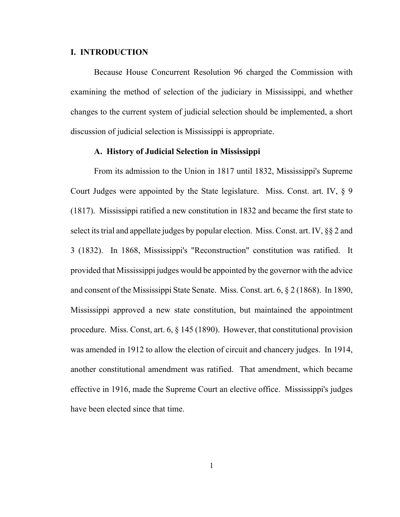#### **I. INTRODUCTION**

Because House Concurrent Resolution 96 charged the Commission with examining the method of selection of the judiciary in Mississippi, and whether changes to the current system of judicial selection should be implemented, a short discussion of judicial selection is Mississippi is appropriate.

#### **A. History of Judicial Selection in Mississippi**

From its admission to the Union in 1817 until 1832, Mississippi's Supreme Court Judges were appointed by the State legislature. Miss. Const. art. IV, § 9 (1817). Mississippi ratified a new constitution in 1832 and became the first state to select its trial and appellate judges by popular election. Miss. Const. art. IV, §§ 2 and 3 (1832). In 1868, Mississippi's "Reconstruction" constitution was ratified. It provided that Mississippi judges would be appointed by the governor with the advice and consent of the Mississippi State Senate. Miss. Const. art. 6, § 2 (1868). In 1890, Mississippi approved a new state constitution, but maintained the appointment procedure. Miss. Const, art. 6, § 145 (1890). However, that constitutional provision was amended in 1912 to allow the election of circuit and chancery judges. In 1914, another constitutional amendment was ratified. That amendment, which became effective in 1916, made the Supreme Court an elective office. Mississippi's judges have been elected since that time.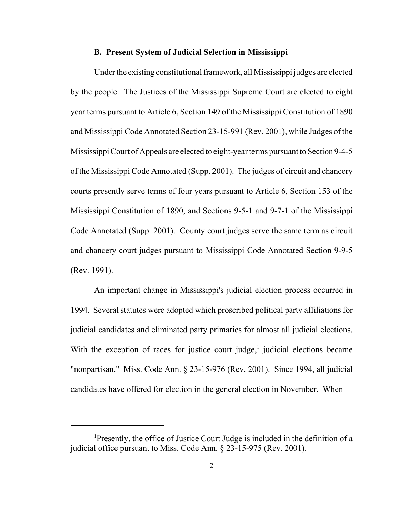#### **B. Present System of Judicial Selection in Mississippi**

Under the existing constitutional framework, all Mississippi judges are elected by the people. The Justices of the Mississippi Supreme Court are elected to eight year terms pursuant to Article 6, Section 149 of the Mississippi Constitution of 1890 and Mississippi Code Annotated Section 23-15-991 (Rev. 2001), while Judges of the Mississippi Court of Appeals are elected to eight-year terms pursuant to Section 9-4-5 of the Mississippi Code Annotated (Supp. 2001). The judges of circuit and chancery courts presently serve terms of four years pursuant to Article 6, Section 153 of the Mississippi Constitution of 1890, and Sections 9-5-1 and 9-7-1 of the Mississippi Code Annotated (Supp. 2001). County court judges serve the same term as circuit and chancery court judges pursuant to Mississippi Code Annotated Section 9-9-5 (Rev. 1991).

An important change in Mississippi's judicial election process occurred in 1994. Several statutes were adopted which proscribed political party affiliations for judicial candidates and eliminated party primaries for almost all judicial elections. With the exception of races for justice court judge, $<sup>1</sup>$  judicial elections became</sup> "nonpartisan." Miss. Code Ann. § 23-15-976 (Rev. 2001). Since 1994, all judicial candidates have offered for election in the general election in November. When

<sup>&</sup>lt;sup>1</sup>Presently, the office of Justice Court Judge is included in the definition of a judicial office pursuant to Miss. Code Ann. § 23-15-975 (Rev. 2001).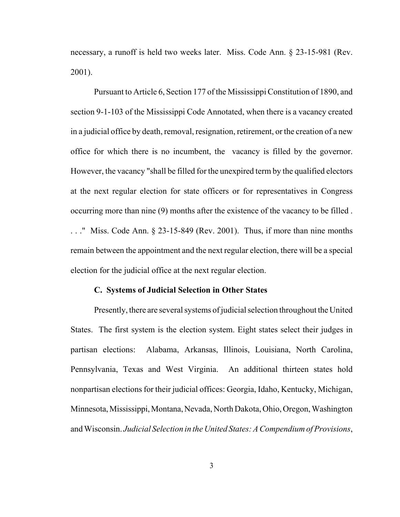necessary, a runoff is held two weeks later. Miss. Code Ann. § 23-15-981 (Rev. 2001).

Pursuant to Article 6, Section 177 of the Mississippi Constitution of 1890, and section 9-1-103 of the Mississippi Code Annotated, when there is a vacancy created in a judicial office by death, removal, resignation, retirement, or the creation of a new office for which there is no incumbent, the vacancy is filled by the governor. However, the vacancy "shall be filled for the unexpired term by the qualified electors at the next regular election for state officers or for representatives in Congress occurring more than nine (9) months after the existence of the vacancy to be filled . . . ." Miss. Code Ann. § 23-15-849 (Rev. 2001). Thus, if more than nine months remain between the appointment and the next regular election, there will be a special election for the judicial office at the next regular election.

#### **C. Systems of Judicial Selection in Other States**

Presently, there are several systems of judicial selection throughout the United States. The first system is the election system. Eight states select their judges in partisan elections: Alabama, Arkansas, Illinois, Louisiana, North Carolina, Pennsylvania, Texas and West Virginia. An additional thirteen states hold nonpartisan elections for their judicial offices: Georgia, Idaho, Kentucky, Michigan, Minnesota, Mississippi, Montana, Nevada, North Dakota, Ohio, Oregon, Washington and Wisconsin. *Judicial Selection in the United States: A Compendium of Provisions*,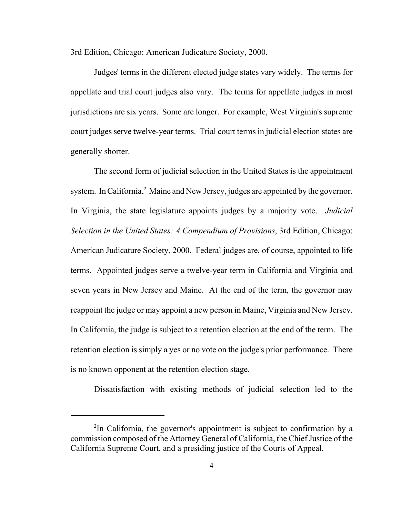3rd Edition, Chicago: American Judicature Society, 2000.

Judges' terms in the different elected judge states vary widely. The terms for appellate and trial court judges also vary. The terms for appellate judges in most jurisdictions are six years. Some are longer. For example, West Virginia's supreme court judges serve twelve-year terms. Trial court terms in judicial election states are generally shorter.

The second form of judicial selection in the United States is the appointment system. In California,<sup>2</sup> Maine and New Jersey, judges are appointed by the governor. In Virginia, the state legislature appoints judges by a majority vote. *Judicial Selection in the United States: A Compendium of Provisions*, 3rd Edition, Chicago: American Judicature Society, 2000. Federal judges are, of course, appointed to life terms. Appointed judges serve a twelve-year term in California and Virginia and seven years in New Jersey and Maine. At the end of the term, the governor may reappoint the judge or may appoint a new person in Maine, Virginia and New Jersey. In California, the judge is subject to a retention election at the end of the term. The retention election is simply a yes or no vote on the judge's prior performance. There is no known opponent at the retention election stage.

Dissatisfaction with existing methods of judicial selection led to the

<sup>&</sup>lt;sup>2</sup>In California, the governor's appointment is subject to confirmation by a commission composed of the Attorney General of California, the Chief Justice of the California Supreme Court, and a presiding justice of the Courts of Appeal.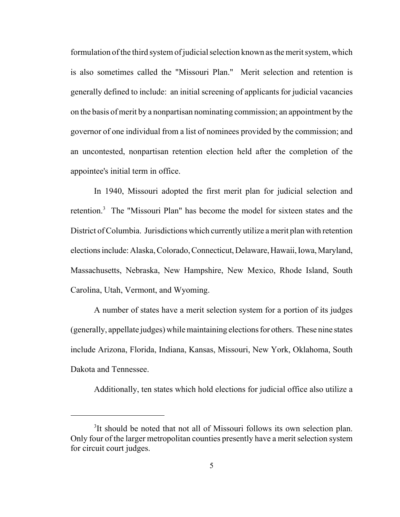formulation of the third system of judicial selection known as the merit system, which is also sometimes called the "Missouri Plan." Merit selection and retention is generally defined to include: an initial screening of applicants for judicial vacancies on the basis of merit by a nonpartisan nominating commission; an appointment by the governor of one individual from a list of nominees provided by the commission; and an uncontested, nonpartisan retention election held after the completion of the appointee's initial term in office.

In 1940, Missouri adopted the first merit plan for judicial selection and retention.<sup>3</sup> The "Missouri Plan" has become the model for sixteen states and the District of Columbia. Jurisdictions which currently utilize a merit plan with retention elections include: Alaska, Colorado, Connecticut, Delaware, Hawaii, Iowa, Maryland, Massachusetts, Nebraska, New Hampshire, New Mexico, Rhode Island, South Carolina, Utah, Vermont, and Wyoming.

A number of states have a merit selection system for a portion of its judges (generally, appellate judges) while maintaining elections for others. These nine states include Arizona, Florida, Indiana, Kansas, Missouri, New York, Oklahoma, South Dakota and Tennessee.

Additionally, ten states which hold elections for judicial office also utilize a

<sup>&</sup>lt;sup>3</sup>It should be noted that not all of Missouri follows its own selection plan. Only four of the larger metropolitan counties presently have a merit selection system for circuit court judges.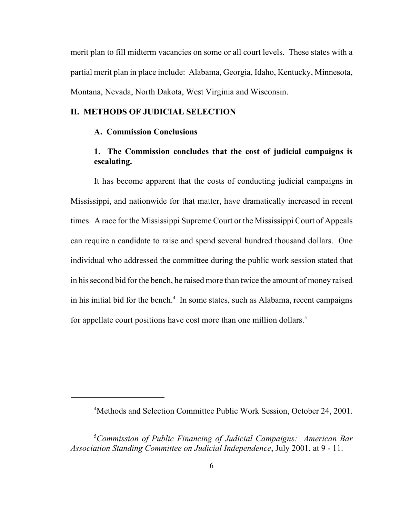merit plan to fill midterm vacancies on some or all court levels. These states with a partial merit plan in place include: Alabama, Georgia, Idaho, Kentucky, Minnesota, Montana, Nevada, North Dakota, West Virginia and Wisconsin.

#### **II. METHODS OF JUDICIAL SELECTION**

#### **A. Commission Conclusions**

## **1. The Commission concludes that the cost of judicial campaigns is escalating.**

It has become apparent that the costs of conducting judicial campaigns in Mississippi, and nationwide for that matter, have dramatically increased in recent times. A race for the Mississippi Supreme Court or the Mississippi Court of Appeals can require a candidate to raise and spend several hundred thousand dollars. One individual who addressed the committee during the public work session stated that in his second bid for the bench, he raised more than twice the amount of money raised in his initial bid for the bench.<sup>4</sup> In some states, such as Alabama, recent campaigns for appellate court positions have cost more than one million dollars.<sup>5</sup>

<sup>4</sup> Methods and Selection Committee Public Work Session, October 24, 2001.

<sup>5</sup> *Commission of Public Financing of Judicial Campaigns: American Bar Association Standing Committee on Judicial Independence*, July 2001, at 9 - 11.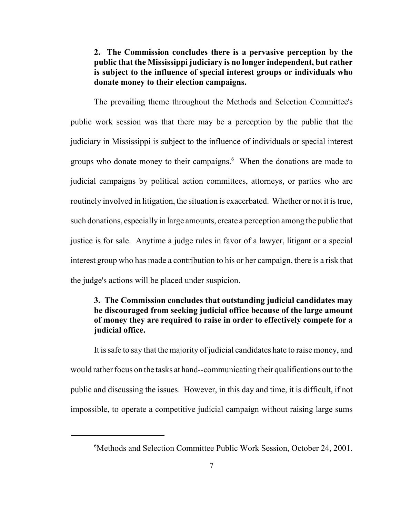**2. The Commission concludes there is a pervasive perception by the public that the Mississippi judiciary is no longer independent, but rather is subject to the influence of special interest groups or individuals who donate money to their election campaigns.** 

The prevailing theme throughout the Methods and Selection Committee's public work session was that there may be a perception by the public that the judiciary in Mississippi is subject to the influence of individuals or special interest groups who donate money to their campaigns.<sup>6</sup> When the donations are made to judicial campaigns by political action committees, attorneys, or parties who are routinely involved in litigation, the situation is exacerbated. Whether or not it is true, such donations, especially in large amounts, create a perception among the public that justice is for sale. Anytime a judge rules in favor of a lawyer, litigant or a special interest group who has made a contribution to his or her campaign, there is a risk that the judge's actions will be placed under suspicion.

## **3. The Commission concludes that outstanding judicial candidates may be discouraged from seeking judicial office because of the large amount of money they are required to raise in order to effectively compete for a judicial office.**

It is safe to say that the majority of judicial candidates hate to raise money, and would rather focus on the tasks at hand--communicating their qualifications out to the public and discussing the issues. However, in this day and time, it is difficult, if not impossible, to operate a competitive judicial campaign without raising large sums

<sup>6</sup> Methods and Selection Committee Public Work Session, October 24, 2001.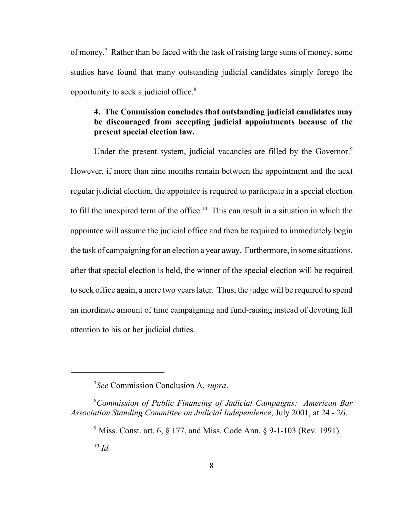opportunity to seek a judicial office.<sup>8</sup> of money.<sup>7</sup> Rather than be faced with the task of raising large sums of money, some studies have found that many outstanding judicial candidates simply forego the

## **4. The Commission concludes that outstanding judicial candidates may be discouraged from accepting judicial appointments because of the present special election law.**

Under the present system, judicial vacancies are filled by the Governor.<sup>9</sup> However, if more than nine months remain between the appointment and the next regular judicial election, the appointee is required to participate in a special election to fill the unexpired term of the office.<sup>10</sup> This can result in a situation in which the appointee will assume the judicial office and then be required to immediately begin the task of campaigning for an election a year away. Furthermore, in some situations, after that special election is held, the winner of the special election will be required to seek office again, a mere two years later. Thus, the judge will be required to spend an inordinate amount of time campaigning and fund-raising instead of devoting full attention to his or her judicial duties.

<sup>7</sup> *See* Commission Conclusion A, *supra*.

<sup>8</sup> *Commission of Public Financing of Judicial Campaigns: American Bar Association Standing Committee on Judicial Independence*, July 2001, at 24 - 26.

 $^{10}$  *Id.* <sup>9</sup> Miss. Const. art. 6,  $\S 177$ , and Miss. Code Ann.  $\S 9$ -1-103 (Rev. 1991).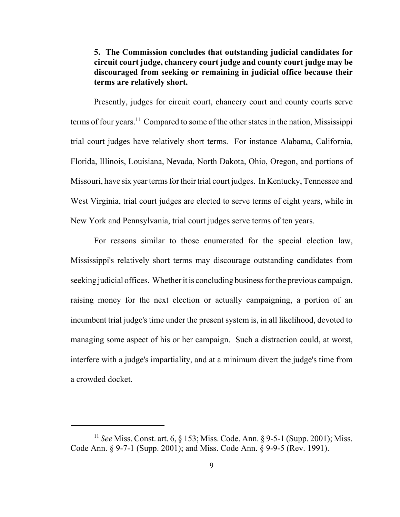## **5. The Commission concludes that outstanding judicial candidates for circuit court judge, chancery court judge and county court judge may be discouraged from seeking or remaining in judicial office because their terms are relatively short.**

Presently, judges for circuit court, chancery court and county courts serve terms of four years.<sup>11</sup> Compared to some of the other states in the nation, Mississippi trial court judges have relatively short terms. For instance Alabama, California, Florida, Illinois, Louisiana, Nevada, North Dakota, Ohio, Oregon, and portions of Missouri, have six year terms for their trial court judges. In Kentucky, Tennessee and West Virginia, trial court judges are elected to serve terms of eight years, while in New York and Pennsylvania, trial court judges serve terms of ten years.

For reasons similar to those enumerated for the special election law, Mississippi's relatively short terms may discourage outstanding candidates from seeking judicial offices. Whether it is concluding business for the previous campaign, raising money for the next election or actually campaigning, a portion of an incumbent trial judge's time under the present system is, in all likelihood, devoted to managing some aspect of his or her campaign. Such a distraction could, at worst, interfere with a judge's impartiality, and at a minimum divert the judge's time from a crowded docket.

<sup>11</sup> *See* Miss. Const. art. 6, § 153; Miss. Code. Ann. § 9-5-1 (Supp. 2001); Miss. Code Ann. § 9-7-1 (Supp. 2001); and Miss. Code Ann. § 9-9-5 (Rev. 1991).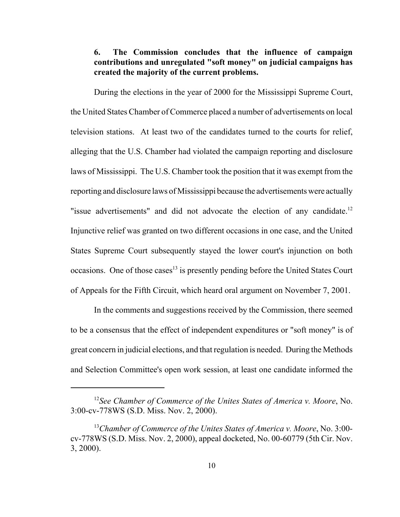## <span id="page-24-0"></span>**6. The Commission concludes that the influence of campaign contributions and unregulated "soft money" on judicial campaigns has created the majority of the current problems.**

During the elections in the year of 2000 for the Mississippi Supreme Court, the United States Chamber of Commerce placed a number of advertisements on local television stations. At least two of the candidates turned to the courts for relief, alleging that the U.S. Chamber had violated the campaign reporting and disclosure laws of Mississippi. The U.S. Chamber took the position that it was exempt from the reporting and disclosure laws of Mississippi because the advertisements were actually "issue advertisements" and did not advocate the election of any candidate.<sup>12</sup> Injunctive relief was granted on two different occasions in one case, and the United States Supreme Court subsequently stayed the lower court's injunction on both occasions. One of those cases<sup>13</sup> is presently pending before the United States Court of Appeals for the Fifth Circuit, which heard oral argument on November 7, 2001.

In the comments and suggestions received by the Commission, there seemed to be a consensus that the effect of independent expenditures or "soft money" is of great concern in judicial elections, and that regulation is needed. During the Methods and Selection Committee's open work session, at least one candidate informed the

<sup>12</sup>*See Chamber of Commerce of the Unites States of America v. Moore*, No. 3:00-cv-778WS (S.D. Miss. Nov. 2, 2000).

<sup>13</sup>*Chamber of Commerce of the Unites States of America v. Moore*, No. 3:00 cv-778WS (S.D. Miss. Nov. 2, 2000), appeal docketed, No. 00-60779 (5th Cir. Nov. 3, 2000).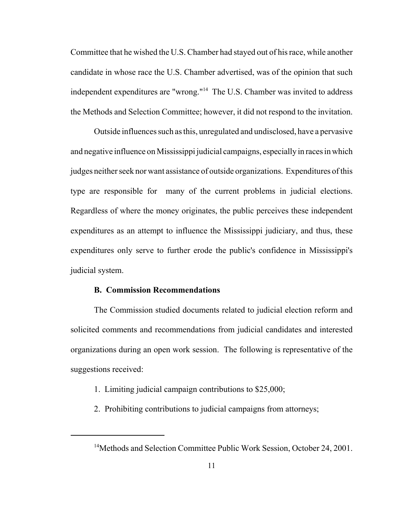Committee that he wished the U.S. Chamber had stayed out of his race, while another candidate in whose race the U.S. Chamber advertised, was of the opinion that such independent expenditures are "wrong."14 The U.S. Chamber was invited to address the Methods and Selection Committee; however, it did not respond to the invitation.

Outside influences such as this, unregulated and undisclosed, have a pervasive and negative influence on Mississippi judicial campaigns, especially in races in which judges neither seek nor want assistance of outside organizations. Expenditures of this type are responsible for many of the current problems in judicial elections. Regardless of where the money originates, the public perceives these independent expenditures as an attempt to influence the Mississippi judiciary, and thus, these expenditures only serve to further erode the public's confidence in Mississippi's judicial system.

#### **B. Commission Recommendations**

The Commission studied documents related to judicial election reform and solicited comments and recommendations from judicial candidates and interested organizations during an open work session. The following is representative of the suggestions received:

- 1. Limiting judicial campaign contributions to \$25,000;
- 2. Prohibiting contributions to judicial campaigns from attorneys;

<sup>&</sup>lt;sup>14</sup>Methods and Selection Committee Public Work Session, October 24, 2001.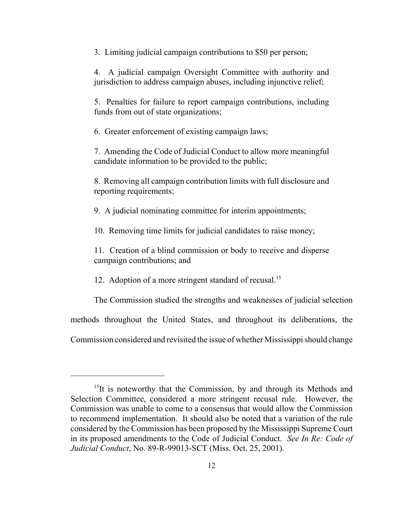3. Limiting judicial campaign contributions to \$50 per person;

4. A judicial campaign Oversight Committee with authority and jurisdiction to address campaign abuses, including injunctive relief;

5. Penalties for failure to report campaign contributions, including funds from out of state organizations;

6. Greater enforcement of existing campaign laws;

7. Amending the Code of Judicial Conduct to allow more meaningful candidate information to be provided to the public;

8. Removing all campaign contribution limits with full disclosure and reporting requirements;

9. A judicial nominating committee for interim appointments;

10. Removing time limits for judicial candidates to raise money;

11. Creation of a blind commission or body to receive and disperse campaign contributions; and

12. Adoption of a more stringent standard of recusal.<sup>15</sup>

The Commission studied the strengths and weaknesses of judicial selection

methods throughout the United States, and throughout its deliberations, the

Commission considered and revisited the issue of whether Mississippi should change

 $15$ It is noteworthy that the Commission, by and through its Methods and Selection Committee, considered a more stringent recusal rule. However, the Commission was unable to come to a consensus that would allow the Commission to recommend implementation. It should also be noted that a variation of the rule considered by the Commission has been proposed by the Mississippi Supreme Court in its proposed amendments to the Code of Judicial Conduct. *See In Re: Code of Judicial Conduct*, No. 89-R-99013-SCT (Miss. Oct. 25, 2001).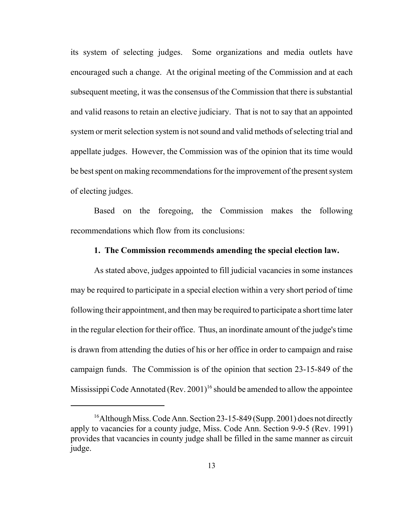<span id="page-27-0"></span>its system of selecting judges. Some organizations and media outlets have encouraged such a change. At the original meeting of the Commission and at each subsequent meeting, it was the consensus of the Commission that there is substantial and valid reasons to retain an elective judiciary. That is not to say that an appointed system or merit selection system is not sound and valid methods of selecting trial and appellate judges. However, the Commission was of the opinion that its time would be best spent on making recommendations for the improvement of the present system of electing judges.

Based on the foregoing, the Commission makes the following recommendations which flow from its conclusions:

#### **1. The Commission recommends amending the special election law.**

As stated above, judges appointed to fill judicial vacancies in some instances may be required to participate in a special election within a very short period of time following their appointment, and then may be required to participate a short time later in the regular election for their office. Thus, an inordinate amount of the judge's time is drawn from attending the duties of his or her office in order to campaign and raise campaign funds. The Commission is of the opinion that section 23-15-849 of the Mississippi Code Annotated (Rev. 2001)<sup>16</sup> should be amended to allow the appointee

<sup>&</sup>lt;sup>16</sup>Although Miss. Code Ann. Section 23-15-849 (Supp. 2001) does not directly apply to vacancies for a county judge, Miss. Code Ann. Section 9-9-5 (Rev. 1991) provides that vacancies in county judge shall be filled in the same manner as circuit judge.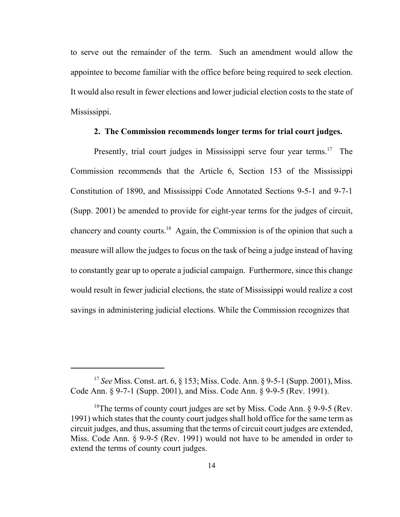<span id="page-28-0"></span>to serve out the remainder of the term. Such an amendment would allow the appointee to become familiar with the office before being required to seek election. It would also result in fewer elections and lower judicial election costs to the state of Mississippi.

#### **2. The Commission recommends longer terms for trial court judges.**

Presently, trial court judges in Mississippi serve four year terms.<sup>17</sup> The Commission recommends that the Article 6, Section 153 of the Mississippi Constitution of 1890, and Mississippi Code Annotated Sections 9-5-1 and 9-7-1 (Supp. 2001) be amended to provide for eight-year terms for the judges of circuit, chancery and county courts.<sup>18</sup> Again, the Commission is of the opinion that such a measure will allow the judges to focus on the task of being a judge instead of having to constantly gear up to operate a judicial campaign. Furthermore, since this change would result in fewer judicial elections, the state of Mississippi would realize a cost savings in administering judicial elections. While the Commission recognizes that

<sup>17</sup>*See* Miss. Const. art. 6, § 153; Miss. Code. Ann. § 9-5-1 (Supp. 2001), Miss. Code Ann. § 9-7-1 (Supp. 2001), and Miss. Code Ann. § 9-9-5 (Rev. 1991).

<sup>&</sup>lt;sup>18</sup>The terms of county court judges are set by Miss. Code Ann.  $\S$  9-9-5 (Rev. 1991) which states that the county court judges shall hold office for the same term as circuit judges, and thus, assuming that the terms of circuit court judges are extended, Miss. Code Ann. § 9-9-5 (Rev. 1991) would not have to be amended in order to extend the terms of county court judges.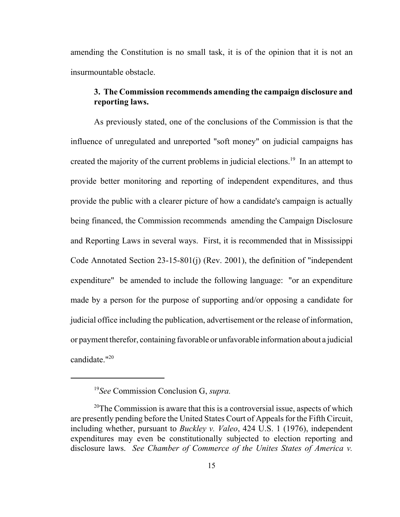<span id="page-29-0"></span>amending the Constitution is no small task, it is of the opinion that it is not an insurmountable obstacle.

#### **3. The Commission recommends amending the campaign disclosure and reporting laws.**

candidate."<sup>20</sup> As previously stated, one of the conclusions of the Commission is that the influence of unregulated and unreported "soft money" on judicial campaigns has created the majority of the current problems in judicial elections.<sup>19</sup> In an attempt to provide better monitoring and reporting of independent expenditures, and thus provide the public with a clearer picture of how a candidate's campaign is actually being financed, the Commission recommends amending the Campaign Disclosure and Reporting Laws in several ways. First, it is recommended that in Mississippi Code Annotated Section 23-15-801(j) (Rev. 2001), the definition of "independent expenditure" be amended to include the following language: "or an expenditure made by a person for the purpose of supporting and/or opposing a candidate for judicial office including the publication, advertisement or the release of information, or payment therefor, containing favorable or unfavorable information about a judicial

<sup>19</sup>*See* Commission Conclusion G, *supra.* 

<sup>&</sup>lt;sup>20</sup>The Commission is aware that this is a controversial issue, aspects of which are presently pending before the United States Court of Appeals for the Fifth Circuit, including whether, pursuant to *Buckley v. Valeo*, 424 U.S. 1 (1976), independent expenditures may even be constitutionally subjected to election reporting and disclosure laws. *See Chamber of Commerce of the Unites States of America v.*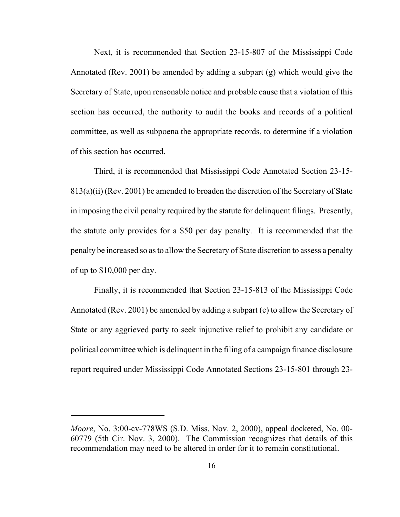Next, it is recommended that Section 23-15-807 of the Mississippi Code Annotated (Rev. 2001) be amended by adding a subpart (g) which would give the Secretary of State, upon reasonable notice and probable cause that a violation of this section has occurred, the authority to audit the books and records of a political committee, as well as subpoena the appropriate records, to determine if a violation of this section has occurred.

Third, it is recommended that Mississippi Code Annotated Section 23-15- 813(a)(ii) (Rev. 2001) be amended to broaden the discretion of the Secretary of State in imposing the civil penalty required by the statute for delinquent filings. Presently, the statute only provides for a \$50 per day penalty. It is recommended that the penalty be increased so as to allow the Secretary of State discretion to assess a penalty of up to \$10,000 per day.

Finally, it is recommended that Section 23-15-813 of the Mississippi Code Annotated (Rev. 2001) be amended by adding a subpart (e) to allow the Secretary of State or any aggrieved party to seek injunctive relief to prohibit any candidate or political committee which is delinquent in the filing of a campaign finance disclosure report required under Mississippi Code Annotated Sections 23-15-801 through 23-

*Moore*, No. 3:00-cv-778WS (S.D. Miss. Nov. 2, 2000), appeal docketed, No. 00- 60779 (5th Cir. Nov. 3, 2000). The Commission recognizes that details of this recommendation may need to be altered in order for it to remain constitutional.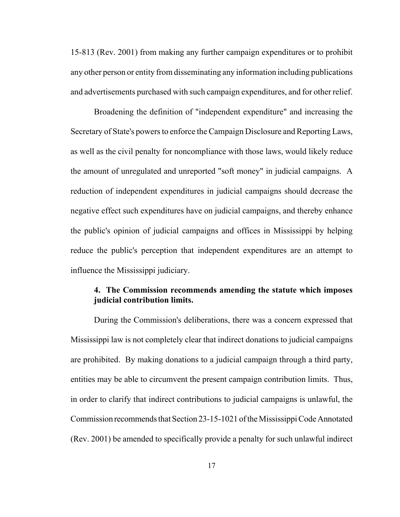<span id="page-31-0"></span>15-813 (Rev. 2001) from making any further campaign expenditures or to prohibit any other person or entity from disseminating any information including publications and advertisements purchased with such campaign expenditures, and for other relief.

Broadening the definition of "independent expenditure" and increasing the Secretary of State's powers to enforce the Campaign Disclosure and Reporting Laws, as well as the civil penalty for noncompliance with those laws, would likely reduce the amount of unregulated and unreported "soft money" in judicial campaigns. A reduction of independent expenditures in judicial campaigns should decrease the negative effect such expenditures have on judicial campaigns, and thereby enhance the public's opinion of judicial campaigns and offices in Mississippi by helping reduce the public's perception that independent expenditures are an attempt to influence the Mississippi judiciary.

## **4. The Commission recommends amending the statute which imposes judicial contribution limits.**

During the Commission's deliberations, there was a concern expressed that Mississippi law is not completely clear that indirect donations to judicial campaigns are prohibited. By making donations to a judicial campaign through a third party, entities may be able to circumvent the present campaign contribution limits. Thus, in order to clarify that indirect contributions to judicial campaigns is unlawful, the Commission recommends that Section 23-15-1021 of the Mississippi Code Annotated (Rev. 2001) be amended to specifically provide a penalty for such unlawful indirect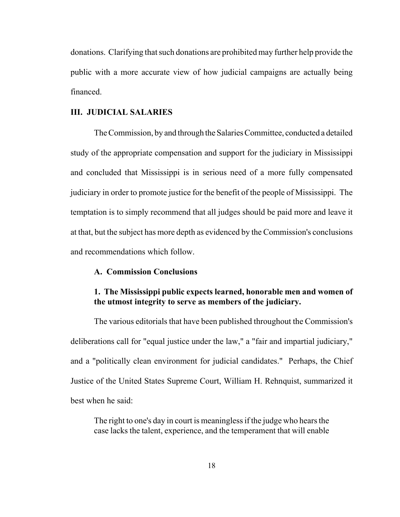<span id="page-32-0"></span>donations. Clarifying that such donations are prohibited may further help provide the public with a more accurate view of how judicial campaigns are actually being financed.

#### **III. JUDICIAL SALARIES**

The Commission, by and through the Salaries Committee, conducted a detailed study of the appropriate compensation and support for the judiciary in Mississippi and concluded that Mississippi is in serious need of a more fully compensated judiciary in order to promote justice for the benefit of the people of Mississippi. The temptation is to simply recommend that all judges should be paid more and leave it at that, but the subject has more depth as evidenced by the Commission's conclusions and recommendations which follow.

#### **A. Commission Conclusions**

## **1. The Mississippi public expects learned, honorable men and women of the utmost integrity to serve as members of the judiciary.**

The various editorials that have been published throughout the Commission's deliberations call for "equal justice under the law," a "fair and impartial judiciary," and a "politically clean environment for judicial candidates." Perhaps, the Chief Justice of the United States Supreme Court, William H. Rehnquist, summarized it best when he said:

The right to one's day in court is meaningless if the judge who hears the case lacks the talent, experience, and the temperament that will enable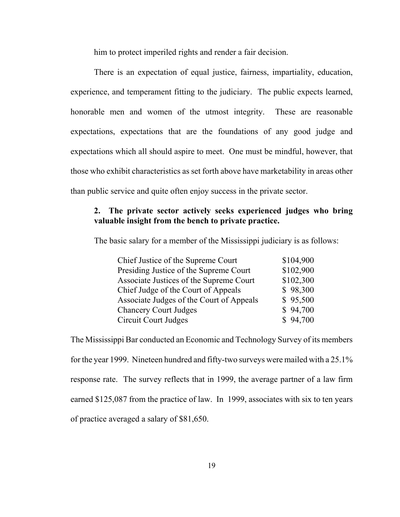him to protect imperiled rights and render a fair decision.

<span id="page-33-0"></span>There is an expectation of equal justice, fairness, impartiality, education, experience, and temperament fitting to the judiciary. The public expects learned, honorable men and women of the utmost integrity. These are reasonable expectations, expectations that are the foundations of any good judge and expectations which all should aspire to meet. One must be mindful, however, that those who exhibit characteristics as set forth above have marketability in areas other than public service and quite often enjoy success in the private sector.

## **2. The private sector actively seeks experienced judges who bring valuable insight from the bench to private practice.**

The basic salary for a member of the Mississippi judiciary is as follows:

| Chief Justice of the Supreme Court       | \$104,900 |
|------------------------------------------|-----------|
| Presiding Justice of the Supreme Court   | \$102,900 |
| Associate Justices of the Supreme Court  | \$102,300 |
| Chief Judge of the Court of Appeals      | \$98,300  |
| Associate Judges of the Court of Appeals | \$95,500  |
| <b>Chancery Court Judges</b>             | \$94,700  |
| Circuit Court Judges                     | \$94,700  |

The Mississippi Bar conducted an Economic and Technology Survey of its members for the year 1999. Nineteen hundred and fifty-two surveys were mailed with a 25.1% response rate. The survey reflects that in 1999, the average partner of a law firm earned \$125,087 from the practice of law. In 1999, associates with six to ten years of practice averaged a salary of \$81,650.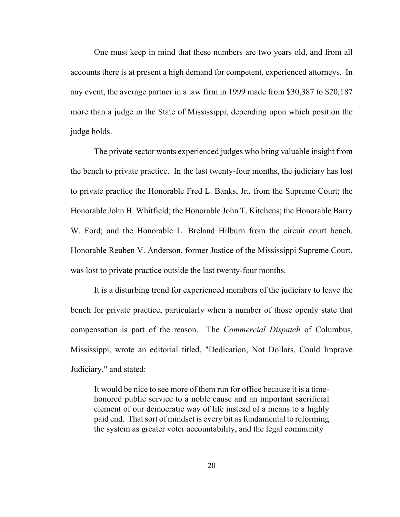One must keep in mind that these numbers are two years old, and from all accounts there is at present a high demand for competent, experienced attorneys. In any event, the average partner in a law firm in 1999 made from \$30,387 to \$20,187 more than a judge in the State of Mississippi, depending upon which position the judge holds.

The private sector wants experienced judges who bring valuable insight from the bench to private practice. In the last twenty-four months, the judiciary has lost to private practice the Honorable Fred L. Banks, Jr., from the Supreme Court; the Honorable John H. Whitfield; the Honorable John T. Kitchens; the Honorable Barry W. Ford; and the Honorable L. Breland Hilburn from the circuit court bench. Honorable Reuben V. Anderson, former Justice of the Mississippi Supreme Court, was lost to private practice outside the last twenty-four months.

It is a disturbing trend for experienced members of the judiciary to leave the bench for private practice, particularly when a number of those openly state that compensation is part of the reason. The *Commercial Dispatch* of Columbus, Mississippi, wrote an editorial titled, "Dedication, Not Dollars, Could Improve Judiciary," and stated:

It would be nice to see more of them run for office because it is a timehonored public service to a noble cause and an important sacrificial element of our democratic way of life instead of a means to a highly paid end. That sort of mindset is every bit as fundamental to reforming the system as greater voter accountability, and the legal community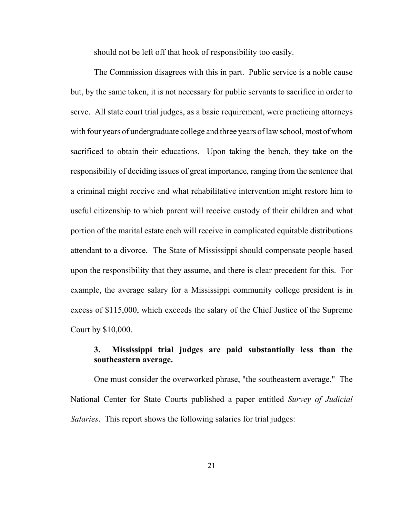should not be left off that hook of responsibility too easily.

<span id="page-35-0"></span>The Commission disagrees with this in part. Public service is a noble cause but, by the same token, it is not necessary for public servants to sacrifice in order to serve. All state court trial judges, as a basic requirement, were practicing attorneys with four years of undergraduate college and three years of law school, most of whom sacrificed to obtain their educations. Upon taking the bench, they take on the responsibility of deciding issues of great importance, ranging from the sentence that a criminal might receive and what rehabilitative intervention might restore him to useful citizenship to which parent will receive custody of their children and what portion of the marital estate each will receive in complicated equitable distributions attendant to a divorce. The State of Mississippi should compensate people based upon the responsibility that they assume, and there is clear precedent for this. For example, the average salary for a Mississippi community college president is in excess of \$115,000, which exceeds the salary of the Chief Justice of the Supreme Court by \$10,000.

## **3. Mississippi trial judges are paid substantially less than the southeastern average.**

One must consider the overworked phrase, "the southeastern average." The National Center for State Courts published a paper entitled *Survey of Judicial Salaries*. This report shows the following salaries for trial judges: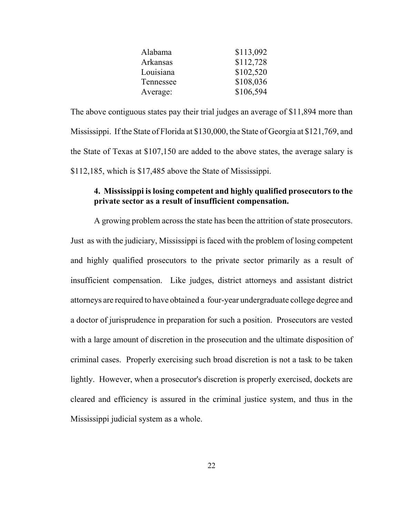| \$113,092 |
|-----------|
| \$112,728 |
| \$102,520 |
| \$108,036 |
| \$106,594 |
|           |

<span id="page-36-0"></span>The above contiguous states pay their trial judges an average of \$11,894 more than Mississippi. If the State of Florida at \$130,000, the State of Georgia at \$121,769, and the State of Texas at \$107,150 are added to the above states, the average salary is \$112,185, which is \$17,485 above the State of Mississippi.

## **4. Mississippi is losing competent and highly qualified prosecutors to the private sector as a result of insufficient compensation.**

A growing problem across the state has been the attrition of state prosecutors. Just as with the judiciary, Mississippi is faced with the problem of losing competent and highly qualified prosecutors to the private sector primarily as a result of insufficient compensation. Like judges, district attorneys and assistant district attorneys are required to have obtained a four-year undergraduate college degree and a doctor of jurisprudence in preparation for such a position. Prosecutors are vested with a large amount of discretion in the prosecution and the ultimate disposition of criminal cases. Properly exercising such broad discretion is not a task to be taken lightly. However, when a prosecutor's discretion is properly exercised, dockets are cleared and efficiency is assured in the criminal justice system, and thus in the Mississippi judicial system as a whole.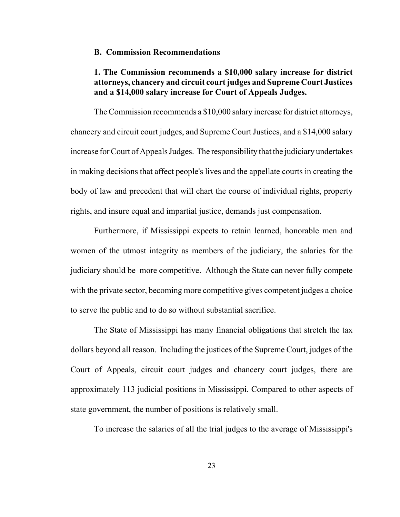#### <span id="page-37-0"></span>**B. Commission Recommendations**

## **1. The Commission recommends a \$10,000 salary increase for district attorneys, chancery and circuit court judges and Supreme Court Justices and a \$14,000 salary increase for Court of Appeals Judges.**

The Commission recommends a \$10,000 salary increase for district attorneys, chancery and circuit court judges, and Supreme Court Justices, and a \$14,000 salary increase for Court of Appeals Judges. The responsibility that the judiciary undertakes in making decisions that affect people's lives and the appellate courts in creating the body of law and precedent that will chart the course of individual rights, property rights, and insure equal and impartial justice, demands just compensation.

Furthermore, if Mississippi expects to retain learned, honorable men and women of the utmost integrity as members of the judiciary, the salaries for the judiciary should be more competitive. Although the State can never fully compete with the private sector, becoming more competitive gives competent judges a choice to serve the public and to do so without substantial sacrifice.

The State of Mississippi has many financial obligations that stretch the tax dollars beyond all reason. Including the justices of the Supreme Court, judges of the Court of Appeals, circuit court judges and chancery court judges, there are approximately 113 judicial positions in Mississippi. Compared to other aspects of state government, the number of positions is relatively small.

To increase the salaries of all the trial judges to the average of Mississippi's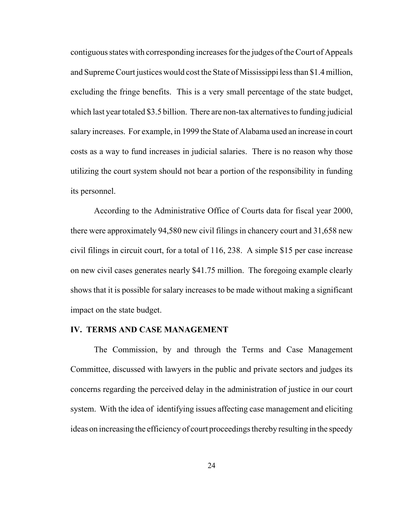contiguous states with corresponding increases for the judges of the Court of Appeals and Supreme Court justices would cost the State of Mississippi less than \$1.4 million, excluding the fringe benefits. This is a very small percentage of the state budget, which last year totaled \$3.5 billion. There are non-tax alternatives to funding judicial salary increases. For example, in 1999 the State of Alabama used an increase in court costs as a way to fund increases in judicial salaries. There is no reason why those utilizing the court system should not bear a portion of the responsibility in funding its personnel.

According to the Administrative Office of Courts data for fiscal year 2000, there were approximately 94,580 new civil filings in chancery court and 31,658 new civil filings in circuit court, for a total of 116, 238. A simple \$15 per case increase on new civil cases generates nearly \$41.75 million. The foregoing example clearly shows that it is possible for salary increases to be made without making a significant impact on the state budget.

#### **IV. TERMS AND CASE MANAGEMENT**

The Commission, by and through the Terms and Case Management Committee, discussed with lawyers in the public and private sectors and judges its concerns regarding the perceived delay in the administration of justice in our court system. With the idea of identifying issues affecting case management and eliciting ideas on increasing the efficiency of court proceedings thereby resulting in the speedy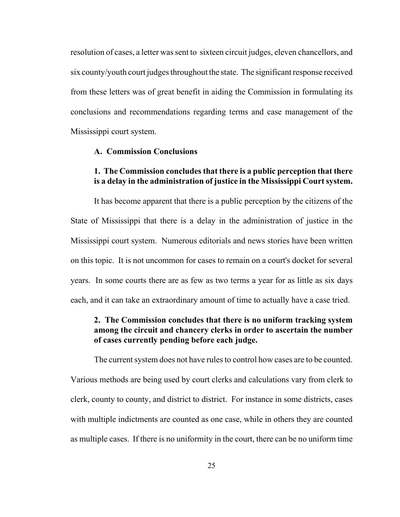<span id="page-39-0"></span>resolution of cases, a letter was sent to sixteen circuit judges, eleven chancellors, and six county/youth court judges throughout the state. The significant response received from these letters was of great benefit in aiding the Commission in formulating its conclusions and recommendations regarding terms and case management of the Mississippi court system.

#### **A. Commission Conclusions**

#### **1. The Commission concludes that there is a public perception that there is a delay in the administration of justice in the Mississippi Court system.**

It has become apparent that there is a public perception by the citizens of the State of Mississippi that there is a delay in the administration of justice in the Mississippi court system. Numerous editorials and news stories have been written on this topic. It is not uncommon for cases to remain on a court's docket for several years. In some courts there are as few as two terms a year for as little as six days each, and it can take an extraordinary amount of time to actually have a case tried.

## **2. The Commission concludes that there is no uniform tracking system among the circuit and chancery clerks in order to ascertain the number of cases currently pending before each judge.**

The current system does not have rules to control how cases are to be counted. Various methods are being used by court clerks and calculations vary from clerk to clerk, county to county, and district to district. For instance in some districts, cases with multiple indictments are counted as one case, while in others they are counted as multiple cases. If there is no uniformity in the court, there can be no uniform time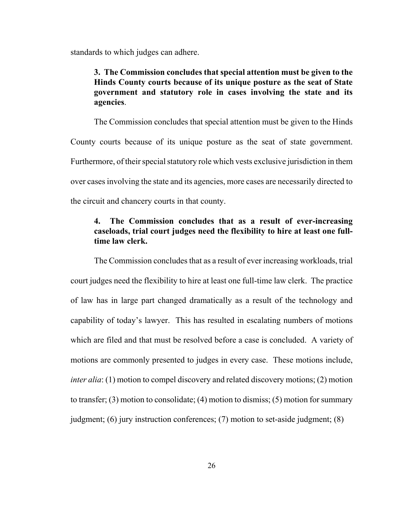<span id="page-40-0"></span>standards to which judges can adhere.

## **3. The Commission concludes that special attention must be given to the Hinds County courts because of its unique posture as the seat of State government and statutory role in cases involving the state and its agencies**.

The Commission concludes that special attention must be given to the Hinds County courts because of its unique posture as the seat of state government. Furthermore, of their special statutory role which vests exclusive jurisdiction in them over cases involving the state and its agencies, more cases are necessarily directed to the circuit and chancery courts in that county.

## **4. The Commission concludes that as a result of ever-increasing caseloads, trial court judges need the flexibility to hire at least one fulltime law clerk.**

The Commission concludes that as a result of ever increasing workloads, trial court judges need the flexibility to hire at least one full-time law clerk. The practice of law has in large part changed dramatically as a result of the technology and capability of today's lawyer. This has resulted in escalating numbers of motions which are filed and that must be resolved before a case is concluded. A variety of motions are commonly presented to judges in every case. These motions include, *inter alia*: (1) motion to compel discovery and related discovery motions; (2) motion to transfer; (3) motion to consolidate; (4) motion to dismiss; (5) motion for summary judgment; (6) jury instruction conferences; (7) motion to set-aside judgment; (8)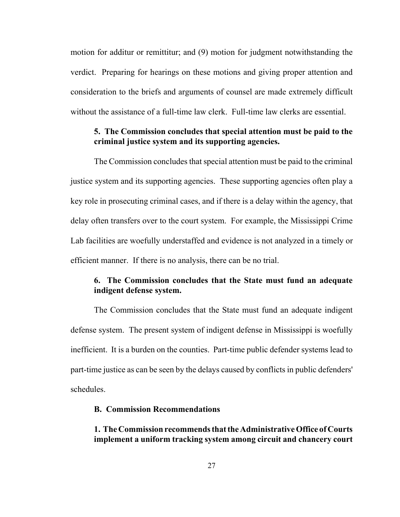<span id="page-41-0"></span>motion for additur or remittitur; and (9) motion for judgment notwithstanding the verdict. Preparing for hearings on these motions and giving proper attention and consideration to the briefs and arguments of counsel are made extremely difficult without the assistance of a full-time law clerk. Full-time law clerks are essential.

## **5. The Commission concludes that special attention must be paid to the criminal justice system and its supporting agencies.**

The Commission concludes that special attention must be paid to the criminal justice system and its supporting agencies. These supporting agencies often play a key role in prosecuting criminal cases, and if there is a delay within the agency, that delay often transfers over to the court system. For example, the Mississippi Crime Lab facilities are woefully understaffed and evidence is not analyzed in a timely or efficient manner. If there is no analysis, there can be no trial.

## **6. The Commission concludes that the State must fund an adequate indigent defense system.**

The Commission concludes that the State must fund an adequate indigent defense system. The present system of indigent defense in Mississippi is woefully inefficient. It is a burden on the counties. Part-time public defender systems lead to part-time justice as can be seen by the delays caused by conflicts in public defenders' schedules.

#### **B. Commission Recommendations**

## **1. The Commission recommends that the Administrative Office of Courts implement a uniform tracking system among circuit and chancery court**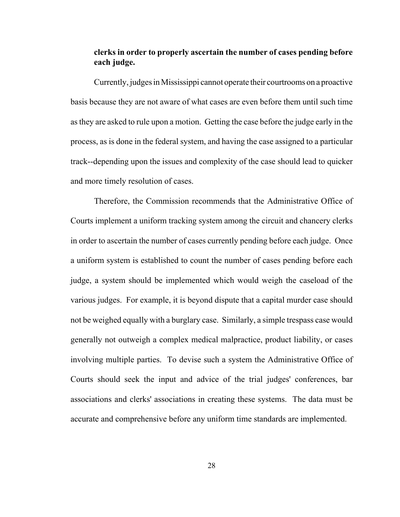## <span id="page-42-0"></span>**clerks in order to properly ascertain the number of cases pending before each judge.**

Currently, judges in Mississippi cannot operate their courtrooms on a proactive basis because they are not aware of what cases are even before them until such time as they are asked to rule upon a motion. Getting the case before the judge early in the process, as is done in the federal system, and having the case assigned to a particular track--depending upon the issues and complexity of the case should lead to quicker and more timely resolution of cases.

Therefore, the Commission recommends that the Administrative Office of Courts implement a uniform tracking system among the circuit and chancery clerks in order to ascertain the number of cases currently pending before each judge. Once a uniform system is established to count the number of cases pending before each judge, a system should be implemented which would weigh the caseload of the various judges. For example, it is beyond dispute that a capital murder case should not be weighed equally with a burglary case. Similarly, a simple trespass case would generally not outweigh a complex medical malpractice, product liability, or cases involving multiple parties. To devise such a system the Administrative Office of Courts should seek the input and advice of the trial judges' conferences, bar associations and clerks' associations in creating these systems. The data must be accurate and comprehensive before any uniform time standards are implemented.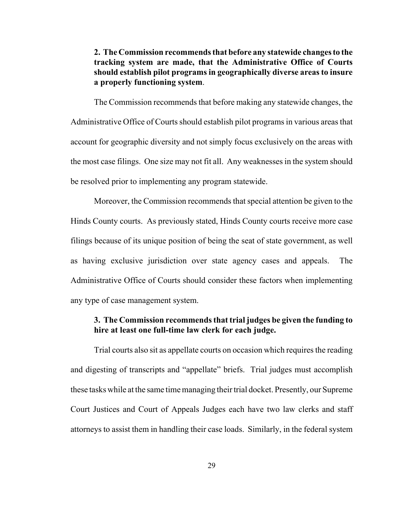<span id="page-43-0"></span>**2. The Commission recommends that before any statewide changes to the tracking system are made, that the Administrative Office of Courts should establish pilot programs in geographically diverse areas to insure a properly functioning system**.

The Commission recommends that before making any statewide changes, the Administrative Office of Courts should establish pilot programs in various areas that account for geographic diversity and not simply focus exclusively on the areas with the most case filings. One size may not fit all. Any weaknesses in the system should be resolved prior to implementing any program statewide.

Moreover, the Commission recommends that special attention be given to the Hinds County courts. As previously stated, Hinds County courts receive more case filings because of its unique position of being the seat of state government, as well as having exclusive jurisdiction over state agency cases and appeals. The Administrative Office of Courts should consider these factors when implementing any type of case management system.

## **3. The Commission recommends that trial judges be given the funding to hire at least one full-time law clerk for each judge.**

Trial courts also sit as appellate courts on occasion which requires the reading and digesting of transcripts and "appellate" briefs. Trial judges must accomplish these tasks while at the same time managing their trial docket. Presently, our Supreme Court Justices and Court of Appeals Judges each have two law clerks and staff attorneys to assist them in handling their case loads. Similarly, in the federal system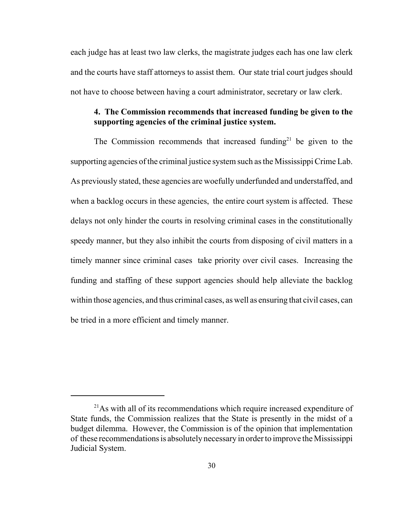<span id="page-44-0"></span>each judge has at least two law clerks, the magistrate judges each has one law clerk and the courts have staff attorneys to assist them. Our state trial court judges should not have to choose between having a court administrator, secretary or law clerk.

## **4. The Commission recommends that increased funding be given to the supporting agencies of the criminal justice system.**

The Commission recommends that increased funding<sup>21</sup> be given to the supporting agencies of the criminal justice system such as the Mississippi Crime Lab. As previously stated, these agencies are woefully underfunded and understaffed, and when a backlog occurs in these agencies, the entire court system is affected. These delays not only hinder the courts in resolving criminal cases in the constitutionally speedy manner, but they also inhibit the courts from disposing of civil matters in a timely manner since criminal cases take priority over civil cases. Increasing the funding and staffing of these support agencies should help alleviate the backlog within those agencies, and thus criminal cases, as well as ensuring that civil cases, can be tried in a more efficient and timely manner.

 $^{21}$ As with all of its recommendations which require increased expenditure of State funds, the Commission realizes that the State is presently in the midst of a budget dilemma. However, the Commission is of the opinion that implementation of these recommendations is absolutely necessary in order to improve the Mississippi Judicial System.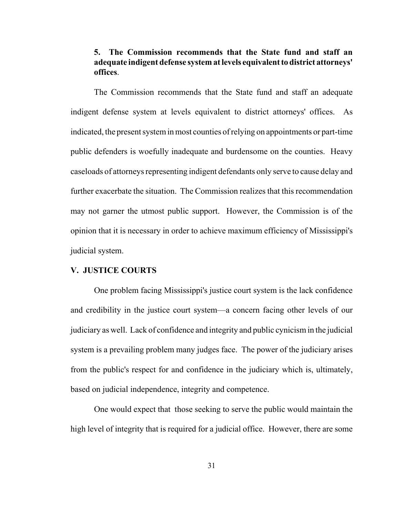## <span id="page-45-0"></span>**5. The Commission recommends that the State fund and staff an adequate indigent defense system at levels equivalent to district attorneys' offices**.

The Commission recommends that the State fund and staff an adequate indigent defense system at levels equivalent to district attorneys' offices. As indicated, the present system in most counties of relying on appointments or part-time public defenders is woefully inadequate and burdensome on the counties. Heavy caseloads of attorneys representing indigent defendants only serve to cause delay and further exacerbate the situation. The Commission realizes that this recommendation may not garner the utmost public support. However, the Commission is of the opinion that it is necessary in order to achieve maximum efficiency of Mississippi's judicial system.

#### **V. JUSTICE COURTS**

One problem facing Mississippi's justice court system is the lack confidence and credibility in the justice court system–a concern facing other levels of our judiciary as well. Lack of confidence and integrity and public cynicism in the judicial system is a prevailing problem many judges face. The power of the judiciary arises from the public's respect for and confidence in the judiciary which is, ultimately, based on judicial independence, integrity and competence.

One would expect that those seeking to serve the public would maintain the high level of integrity that is required for a judicial office. However, there are some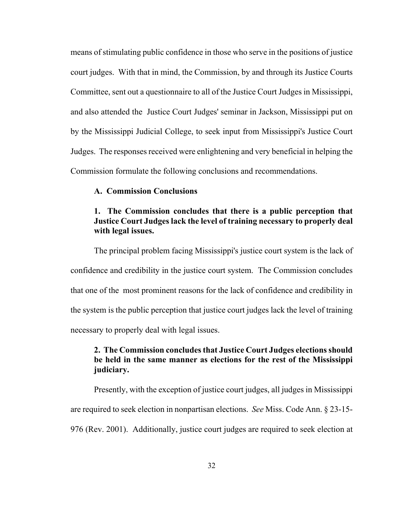<span id="page-46-0"></span>means of stimulating public confidence in those who serve in the positions of justice court judges. With that in mind, the Commission, by and through its Justice Courts Committee, sent out a questionnaire to all of the Justice Court Judges in Mississippi, and also attended the Justice Court Judges' seminar in Jackson, Mississippi put on by the Mississippi Judicial College, to seek input from Mississippi's Justice Court Judges. The responses received were enlightening and very beneficial in helping the Commission formulate the following conclusions and recommendations.

#### **A. Commission Conclusions**

## **1. The Commission concludes that there is a public perception that Justice Court Judges lack the level of training necessary to properly deal with legal issues.**

The principal problem facing Mississippi's justice court system is the lack of confidence and credibility in the justice court system. The Commission concludes that one of the most prominent reasons for the lack of confidence and credibility in the system is the public perception that justice court judges lack the level of training necessary to properly deal with legal issues.

## **2. The Commission concludes that Justice Court Judges elections should be held in the same manner as elections for the rest of the Mississippi judiciary.**

Presently, with the exception of justice court judges, all judges in Mississippi are required to seek election in nonpartisan elections. *See* Miss. Code Ann. § 23-15- 976 (Rev. 2001). Additionally, justice court judges are required to seek election at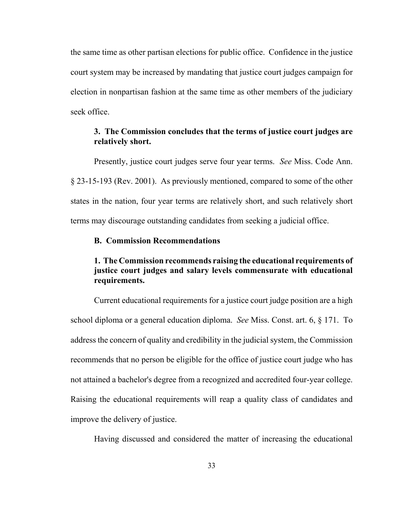<span id="page-47-0"></span>the same time as other partisan elections for public office. Confidence in the justice court system may be increased by mandating that justice court judges campaign for election in nonpartisan fashion at the same time as other members of the judiciary seek office.

## **3. The Commission concludes that the terms of justice court judges are relatively short.**

Presently, justice court judges serve four year terms. *See* Miss. Code Ann. § 23-15-193 (Rev. 2001). As previously mentioned, compared to some of the other states in the nation, four year terms are relatively short, and such relatively short terms may discourage outstanding candidates from seeking a judicial office.

#### **B. Commission Recommendations**

## **1. The Commission recommends raising the educational requirements of justice court judges and salary levels commensurate with educational requirements.**

Current educational requirements for a justice court judge position are a high school diploma or a general education diploma. *See* Miss. Const. art. 6, § 171. To address the concern of quality and credibility in the judicial system, the Commission recommends that no person be eligible for the office of justice court judge who has not attained a bachelor's degree from a recognized and accredited four-year college. Raising the educational requirements will reap a quality class of candidates and improve the delivery of justice.

Having discussed and considered the matter of increasing the educational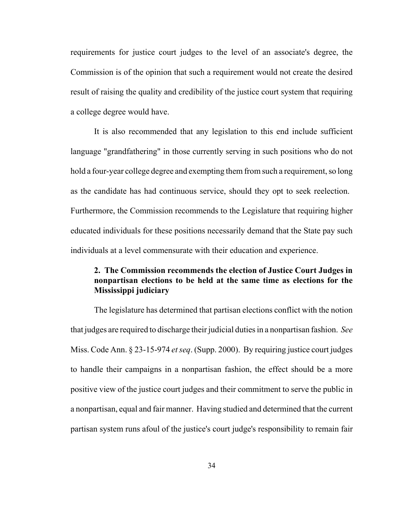requirements for justice court judges to the level of an associate's degree, the Commission is of the opinion that such a requirement would not create the desired result of raising the quality and credibility of the justice court system that requiring a college degree would have.

It is also recommended that any legislation to this end include sufficient language "grandfathering" in those currently serving in such positions who do not hold a four-year college degree and exempting them from such a requirement, so long as the candidate has had continuous service, should they opt to seek reelection. Furthermore, the Commission recommends to the Legislature that requiring higher educated individuals for these positions necessarily demand that the State pay such individuals at a level commensurate with their education and experience.

## **2. The Commission recommends the election of Justice Court Judges in nonpartisan elections to be held at the same time as elections for the Mississippi judiciary**

The legislature has determined that partisan elections conflict with the notion that judges are required to discharge their judicial duties in a nonpartisan fashion. *See*  Miss. Code Ann. § 23-15-974 *et seq*. (Supp. 2000). By requiring justice court judges to handle their campaigns in a nonpartisan fashion, the effect should be a more positive view of the justice court judges and their commitment to serve the public in a nonpartisan, equal and fair manner. Having studied and determined that the current partisan system runs afoul of the justice's court judge's responsibility to remain fair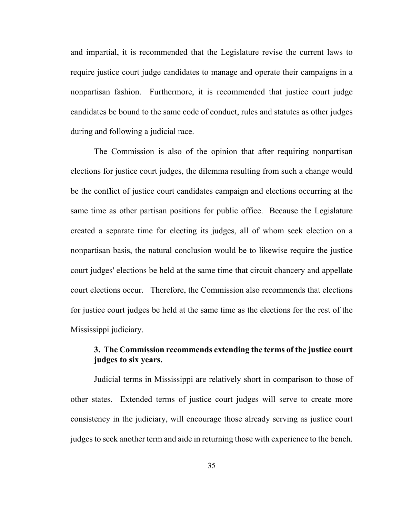and impartial, it is recommended that the Legislature revise the current laws to require justice court judge candidates to manage and operate their campaigns in a nonpartisan fashion. Furthermore, it is recommended that justice court judge candidates be bound to the same code of conduct, rules and statutes as other judges during and following a judicial race.

The Commission is also of the opinion that after requiring nonpartisan elections for justice court judges, the dilemma resulting from such a change would be the conflict of justice court candidates campaign and elections occurring at the same time as other partisan positions for public office. Because the Legislature created a separate time for electing its judges, all of whom seek election on a nonpartisan basis, the natural conclusion would be to likewise require the justice court judges' elections be held at the same time that circuit chancery and appellate court elections occur. Therefore, the Commission also recommends that elections for justice court judges be held at the same time as the elections for the rest of the Mississippi judiciary.

## **3. The Commission recommends extending the terms of the justice court judges to six years.**

Judicial terms in Mississippi are relatively short in comparison to those of other states. Extended terms of justice court judges will serve to create more consistency in the judiciary, will encourage those already serving as justice court judges to seek another term and aide in returning those with experience to the bench.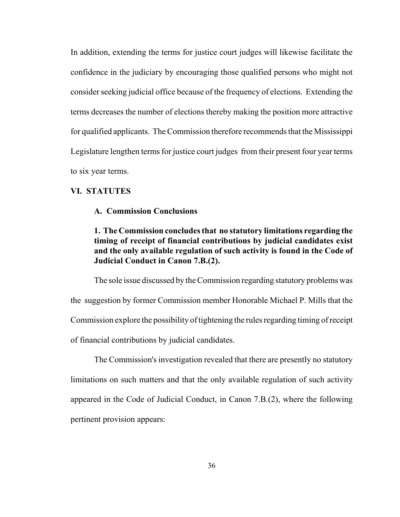In addition, extending the terms for justice court judges will likewise facilitate the confidence in the judiciary by encouraging those qualified persons who might not consider seeking judicial office because of the frequency of elections. Extending the terms decreases the number of elections thereby making the position more attractive for qualified applicants. The Commission therefore recommends that the Mississippi Legislature lengthen terms for justice court judges from their present four year terms to six year terms.

#### **VI. STATUTES**

#### **A. Commission Conclusions**

**1. The Commission concludes that no statutory limitations regarding the timing of receipt of financial contributions by judicial candidates exist and the only available regulation of such activity is found in the Code of Judicial Conduct in Canon 7.B.(2).** 

The sole issue discussed by the Commission regarding statutory problems was the suggestion by former Commission member Honorable Michael P. Mills that the Commission explore the possibility of tightening the rules regarding timing of receipt of financial contributions by judicial candidates.

The Commission's investigation revealed that there are presently no statutory limitations on such matters and that the only available regulation of such activity appeared in the Code of Judicial Conduct, in Canon 7.B.(2), where the following pertinent provision appears: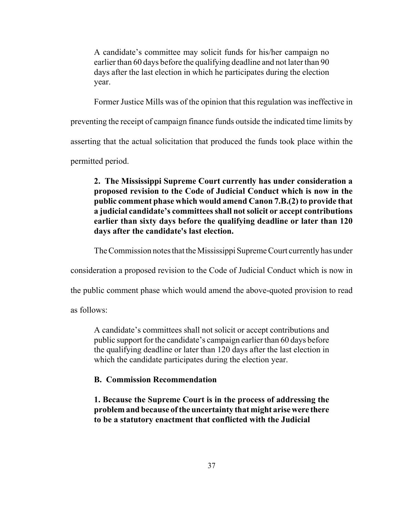A candidate's committee may solicit funds for his/her campaign no earlier than 60 days before the qualifying deadline and not later than 90 days after the last election in which he participates during the election year.

Former Justice Mills was of the opinion that this regulation was ineffective in

preventing the receipt of campaign finance funds outside the indicated time limits by

asserting that the actual solicitation that produced the funds took place within the

permitted period.

**2. The Mississippi Supreme Court currently has under consideration a proposed revision to the Code of Judicial Conduct which is now in the public comment phase which would amend Canon 7.B.(2) to provide that a judicial candidate's committees shall not solicit or accept contributions earlier than sixty days before the qualifying deadline or later than 120 days after the candidate's last election.** 

The Commission notes that the Mississippi Supreme Court currently has under

consideration a proposed revision to the Code of Judicial Conduct which is now in

the public comment phase which would amend the above-quoted provision to read

as follows:

A candidate's committees shall not solicit or accept contributions and public support for the candidate's campaign earlier than 60 days before the qualifying deadline or later than 120 days after the last election in which the candidate participates during the election year.

#### **B. Commission Recommendation**

**1. Because the Supreme Court is in the process of addressing the problem and because of the uncertainty that might arise were there to be a statutory enactment that conflicted with the Judicial**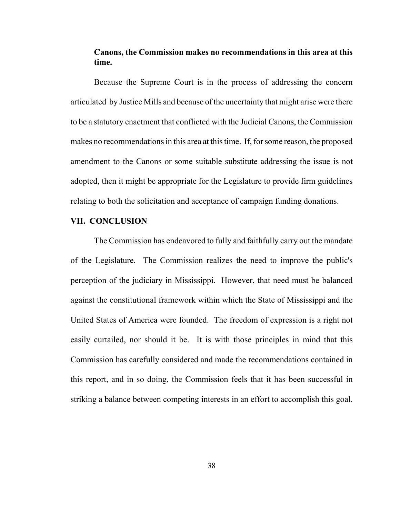## **Canons, the Commission makes no recommendations in this area at this time.**

Because the Supreme Court is in the process of addressing the concern articulated by Justice Mills and because of the uncertainty that might arise were there to be a statutory enactment that conflicted with the Judicial Canons, the Commission makes no recommendations in this area at this time. If, for some reason, the proposed amendment to the Canons or some suitable substitute addressing the issue is not adopted, then it might be appropriate for the Legislature to provide firm guidelines relating to both the solicitation and acceptance of campaign funding donations.

#### **VII. CONCLUSION**

The Commission has endeavored to fully and faithfully carry out the mandate of the Legislature. The Commission realizes the need to improve the public's perception of the judiciary in Mississippi. However, that need must be balanced against the constitutional framework within which the State of Mississippi and the United States of America were founded. The freedom of expression is a right not easily curtailed, nor should it be. It is with those principles in mind that this Commission has carefully considered and made the recommendations contained in this report, and in so doing, the Commission feels that it has been successful in striking a balance between competing interests in an effort to accomplish this goal.